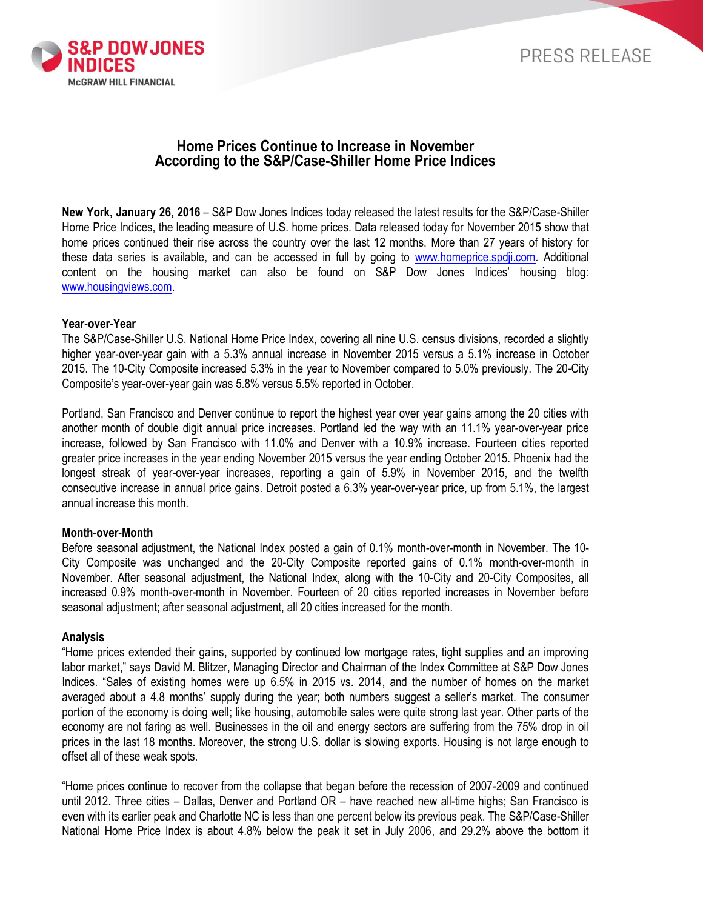

# **Home Prices Continue to Increase in November According to the S&P/Case-Shiller Home Price Indices**

**New York, January 26, 2016** – S&P Dow Jones Indices today released the latest results for the S&P/Case-Shiller Home Price Indices, the leading measure of U.S. home prices. Data released today for November 2015 show that home prices continued their rise across the country over the last 12 months. More than 27 years of history for these data series is available, and can be accessed in full by going to [www.homeprice.spdji.com.](http://www.homeprice.spdji.com/) Additional content on the housing market can also be found on S&P Dow Jones Indices' housing blog: [www.housingviews.com.](http://www.housingviews.com/)

### **Year-over-Year**

The S&P/Case-Shiller U.S. National Home Price Index, covering all nine U.S. census divisions, recorded a slightly higher year-over-year gain with a 5.3% annual increase in November 2015 versus a 5.1% increase in October 2015. The 10-City Composite increased 5.3% in the year to November compared to 5.0% previously. The 20-City Composite's year-over-year gain was 5.8% versus 5.5% reported in October.

Portland, San Francisco and Denver continue to report the highest year over year gains among the 20 cities with another month of double digit annual price increases. Portland led the way with an 11.1% year-over-year price increase, followed by San Francisco with 11.0% and Denver with a 10.9% increase. Fourteen cities reported greater price increases in the year ending November 2015 versus the year ending October 2015. Phoenix had the longest streak of year-over-year increases, reporting a gain of 5.9% in November 2015, and the twelfth consecutive increase in annual price gains. Detroit posted a 6.3% year-over-year price, up from 5.1%, the largest annual increase this month.

## **Month-over-Month**

Before seasonal adjustment, the National Index posted a gain of 0.1% month-over-month in November. The 10- City Composite was unchanged and the 20-City Composite reported gains of 0.1% month-over-month in November. After seasonal adjustment, the National Index, along with the 10-City and 20-City Composites, all increased 0.9% month-over-month in November. Fourteen of 20 cities reported increases in November before seasonal adjustment; after seasonal adjustment, all 20 cities increased for the month.

## **Analysis**

"Home prices extended their gains, supported by continued low mortgage rates, tight supplies and an improving labor market," says David M. Blitzer, Managing Director and Chairman of the Index Committee at S&P Dow Jones Indices. "Sales of existing homes were up 6.5% in 2015 vs. 2014, and the number of homes on the market averaged about a 4.8 months' supply during the year; both numbers suggest a seller's market. The consumer portion of the economy is doing well; like housing, automobile sales were quite strong last year. Other parts of the economy are not faring as well. Businesses in the oil and energy sectors are suffering from the 75% drop in oil prices in the last 18 months. Moreover, the strong U.S. dollar is slowing exports. Housing is not large enough to offset all of these weak spots.

"Home prices continue to recover from the collapse that began before the recession of 2007-2009 and continued until 2012. Three cities – Dallas, Denver and Portland OR – have reached new all-time highs; San Francisco is even with its earlier peak and Charlotte NC is less than one percent below its previous peak. The S&P/Case-Shiller National Home Price Index is about 4.8% below the peak it set in July 2006, and 29.2% above the bottom it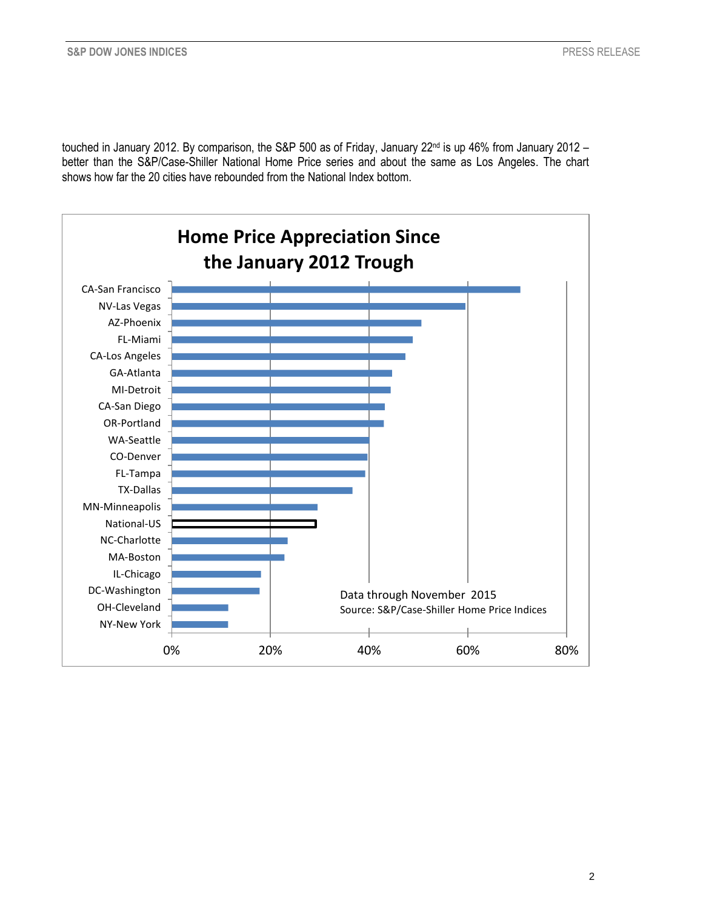touched in January 2012. By comparison, the S&P 500 as of Friday, January 22<sup>nd</sup> is up 46% from January 2012 better than the S&P/Case-Shiller National Home Price series and about the same as Los Angeles. The chart shows how far the 20 cities have rebounded from the National Index bottom.

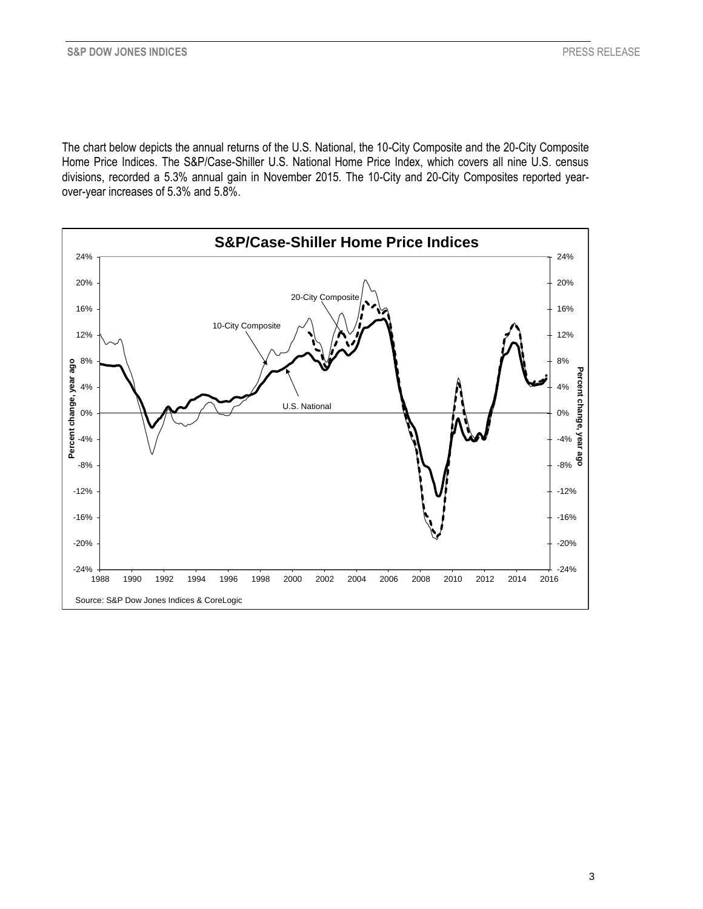The chart below depicts the annual returns of the U.S. National, the 10-City Composite and the 20-City Composite Home Price Indices. The S&P/Case-Shiller U.S. National Home Price Index, which covers all nine U.S. census divisions, recorded a 5.3% annual gain in November 2015. The 10-City and 20-City Composites reported yearover-year increases of 5.3% and 5.8%.

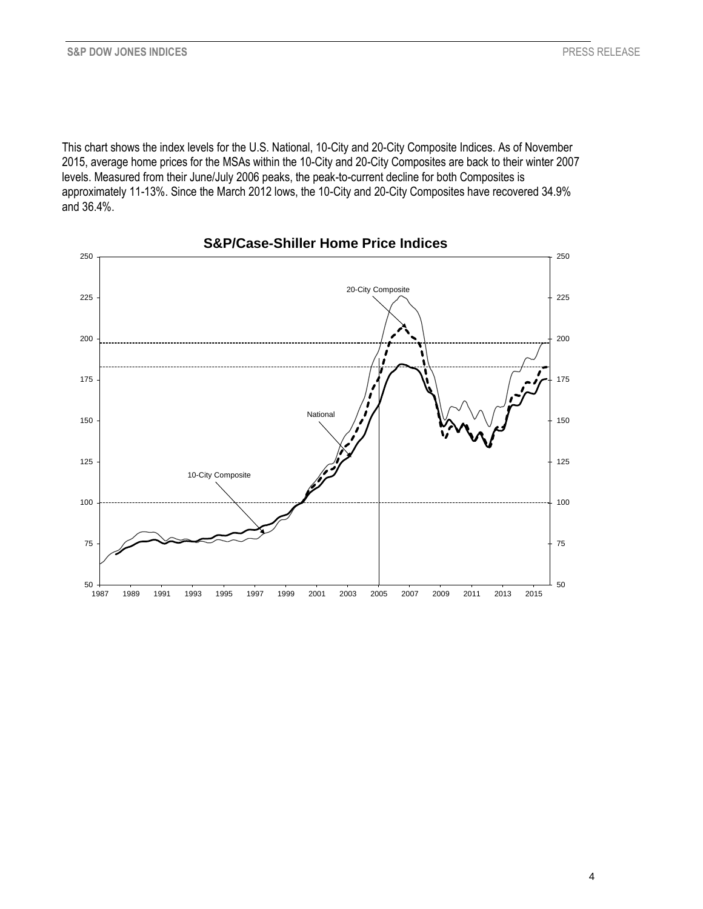This chart shows the index levels for the U.S. National, 10-City and 20-City Composite Indices. As of November 75 2015, average home prices for the MSAs within the 10-City and 20-City Composites are back to their winter 2007 levels. Measured from their June/July 2006 peaks, the peak-to-current decline for both Composites is approximately 11-13%. Since the March 2012 lows, the 10-City and 20-City Composites have recovered 34.9% 50 and 36.4%.  $14\%$  1996 1997 1997 1997 1998 2001 2003 2004 2007 2008 2007 2011 2013 2014 2015 2016 2017 2018 2015 2016 2017 2018 2017 2018 2019 2014 2015 2016 2017 2018 2017 2018 2017 2018 2017 2018 2017 2018 2017 2018 2017 2018 2017



**S&P/Case-Shiller Home Price Indices**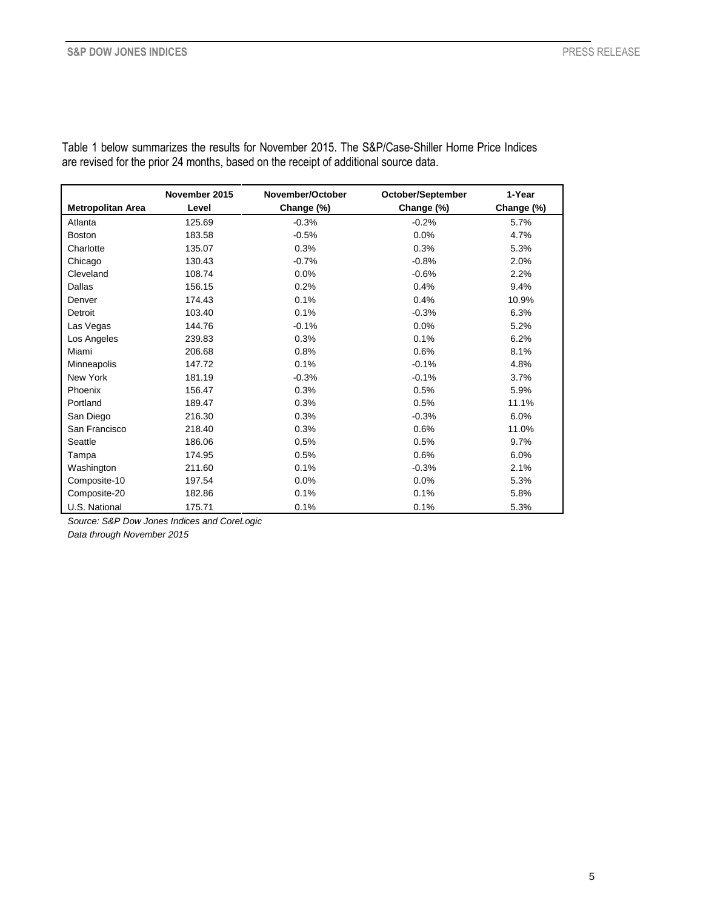|                          | November 2015 | November/October | October/September | 1-Year     |
|--------------------------|---------------|------------------|-------------------|------------|
| <b>Metropolitan Area</b> | Level         | Change (%)       | Change (%)        | Change (%) |
| Atlanta                  | 125.69        | $-0.3%$          | $-0.2%$           | 5.7%       |
| <b>Boston</b>            | 183.58        | $-0.5%$          | 0.0%              | 4.7%       |
| Charlotte                | 135.07        | 0.3%             | 0.3%              | 5.3%       |
| Chicago                  | 130.43        | $-0.7%$          | $-0.8%$           | 2.0%       |
| Cleveland                | 108.74        | 0.0%             | $-0.6%$           | 2.2%       |
| Dallas                   | 156.15        | 0.2%             | 0.4%              | 9.4%       |
| Denver                   | 174.43        | 0.1%             | 0.4%              | 10.9%      |
| Detroit                  | 103.40        | 0.1%             | $-0.3%$           | 6.3%       |
| Las Vegas                | 144.76        | $-0.1%$          | 0.0%              | 5.2%       |
| Los Angeles              | 239.83        | 0.3%             | 0.1%              | 6.2%       |
| Miami                    | 206.68        | 0.8%             | 0.6%              | 8.1%       |
| Minneapolis              | 147.72        | 0.1%             | $-0.1%$           | 4.8%       |
| New York                 | 181.19        | $-0.3%$          | $-0.1%$           | 3.7%       |
| Phoenix                  | 156.47        | 0.3%             | 0.5%              | 5.9%       |
| Portland                 | 189.47        | 0.3%             | 0.5%              | 11.1%      |
| San Diego                | 216.30        | 0.3%             | $-0.3%$           | 6.0%       |
| San Francisco            | 218.40        | 0.3%             | 0.6%              | 11.0%      |
| Seattle                  | 186.06        | 0.5%             | 0.5%              | 9.7%       |
| Tampa                    | 174.95        | 0.5%             | 0.6%              | 6.0%       |
| Washington               | 211.60        | 0.1%             | $-0.3%$           | 2.1%       |
| Composite-10             | 197.54        | 0.0%             | 0.0%              | 5.3%       |
| Composite-20             | 182.86        | 0.1%             | 0.1%              | 5.8%       |
| U.S. National            | 175.71        | 0.1%             | 0.1%              | 5.3%       |

Table 1 below summarizes the results for November 2015. The S&P/Case-Shiller Home Price Indices are revised for the prior 24 months, based on the receipt of additional source data.

*Source: S&P Dow Jones Indices and CoreLogic Data through November 2015*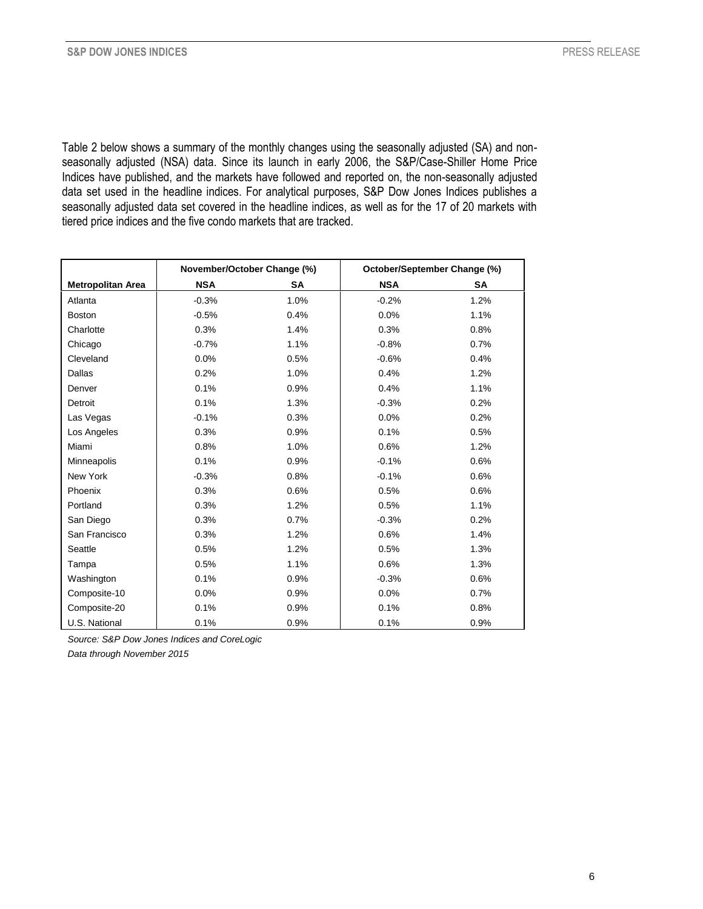Table 2 below shows a summary of the monthly changes using the seasonally adjusted (SA) and nonseasonally adjusted (NSA) data. Since its launch in early 2006, the S&P/Case-Shiller Home Price Indices have published, and the markets have followed and reported on, the non-seasonally adjusted data set used in the headline indices. For analytical purposes, S&P Dow Jones Indices publishes a seasonally adjusted data set covered in the headline indices, as well as for the 17 of 20 markets with tiered price indices and the five condo markets that are tracked.

|                          | November/October Change (%) |      | October/September Change (%) |      |
|--------------------------|-----------------------------|------|------------------------------|------|
| <b>Metropolitan Area</b> | <b>NSA</b>                  | SΑ   | <b>NSA</b>                   | SA   |
| Atlanta                  | $-0.3%$                     | 1.0% | $-0.2%$                      | 1.2% |
| <b>Boston</b>            | $-0.5%$                     | 0.4% | 0.0%                         | 1.1% |
| Charlotte                | 0.3%                        | 1.4% | 0.3%                         | 0.8% |
| Chicago                  | $-0.7%$                     | 1.1% | $-0.8%$                      | 0.7% |
| Cleveland                | 0.0%                        | 0.5% | $-0.6%$                      | 0.4% |
| Dallas                   | 0.2%                        | 1.0% | 0.4%                         | 1.2% |
| Denver                   | 0.1%                        | 0.9% | 0.4%                         | 1.1% |
| Detroit                  | 0.1%                        | 1.3% | $-0.3%$                      | 0.2% |
| Las Vegas                | $-0.1%$                     | 0.3% | 0.0%                         | 0.2% |
| Los Angeles              | 0.3%                        | 0.9% | 0.1%                         | 0.5% |
| Miami                    | 0.8%                        | 1.0% | 0.6%                         | 1.2% |
| Minneapolis              | 0.1%                        | 0.9% | $-0.1%$                      | 0.6% |
| New York                 | $-0.3%$                     | 0.8% | $-0.1%$                      | 0.6% |
| Phoenix                  | 0.3%                        | 0.6% | 0.5%                         | 0.6% |
| Portland                 | 0.3%                        | 1.2% | 0.5%                         | 1.1% |
| San Diego                | 0.3%                        | 0.7% | $-0.3%$                      | 0.2% |
| San Francisco            | 0.3%                        | 1.2% | 0.6%                         | 1.4% |
| Seattle                  | 0.5%                        | 1.2% | 0.5%                         | 1.3% |
| Tampa                    | 0.5%                        | 1.1% | 0.6%                         | 1.3% |
| Washington               | 0.1%                        | 0.9% | $-0.3%$                      | 0.6% |
| Composite-10             | 0.0%                        | 0.9% | 0.0%                         | 0.7% |
| Composite-20             | 0.1%                        | 0.9% | 0.1%                         | 0.8% |
| U.S. National            | 0.1%                        | 0.9% | 0.1%                         | 0.9% |

*Source: S&P Dow Jones Indices and CoreLogic*

*Data through November 2015*